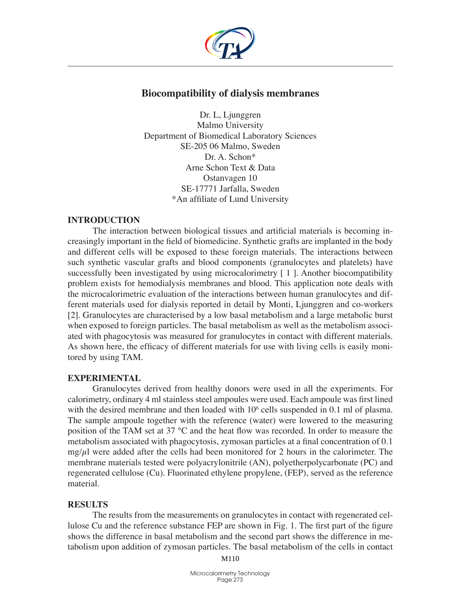

# **Biocompatibility of dialysis membranes**

Dr. L, Ljunggren Malmo University Department of Biomedical Laboratory Sciences SE-205 06 Malmo, Sweden Dr. A. Schon\* Arne Schon Text & Data Ostanvagen 10 SE-17771 Jarfalla, Sweden \*An affiliate of Lund University

## **Introduction**

The interaction between biological tissues and artificial materials is becoming increasingly important in the field of biomedicine. Synthetic grafts are implanted in the body and different cells will be exposed to these foreign materials. The interactions between such synthetic vascular grafts and blood components (granulocytes and platelets) have successfully been investigated by using microcalorimetry [1]. Another biocompatibility problem exists for hemodialysis membranes and blood. This application note deals with the microcalorimetric evaluation of the interactions between human granulocytes and different materials used for dialysis reported in detail by Monti, Ljunggren and co-workers [2]. Granulocytes are characterised by a low basal metabolism and a large metabolic burst when exposed to foreign particles. The basal metabolism as well as the metabolism associated with phagocytosis was measured for granulocytes in contact with different materials. As shown here, the efficacy of different materials for use with living cells is easily monitored by using TAM.

## **Experimental**

Granulocytes derived from healthy donors were used in all the experiments. For calorimetry, ordinary 4 ml stainless steel ampoules were used. Each ampoule was first lined with the desired membrane and then loaded with  $10<sup>6</sup>$  cells suspended in 0.1 ml of plasma. The sample ampoule together with the reference (water) were lowered to the measuring position of the TAM set at 37 °C and the heat flow was recorded. In order to measure the metabolism associated with phagocytosis, zymosan particles at a final concentration of 0.1  $mg/\mu$ l were added after the cells had been monitored for 2 hours in the calorimeter. The membrane materials tested were polyacrylonitrile (AN), polyetherpolycarbonate (PC) and regenerated cellulose (Cu). Fluorinated ethylene propylene, (FEP), served as the reference material.

### **Results**

The results from the measurements on granulocytes in contact with regenerated cellulose Cu and the reference substance FEP are shown in Fig. 1. The first part of the figure shows the difference in basal metabolism and the second part shows the difference in metabolism upon addition of zymosan particles. The basal metabolism of the cells in contact